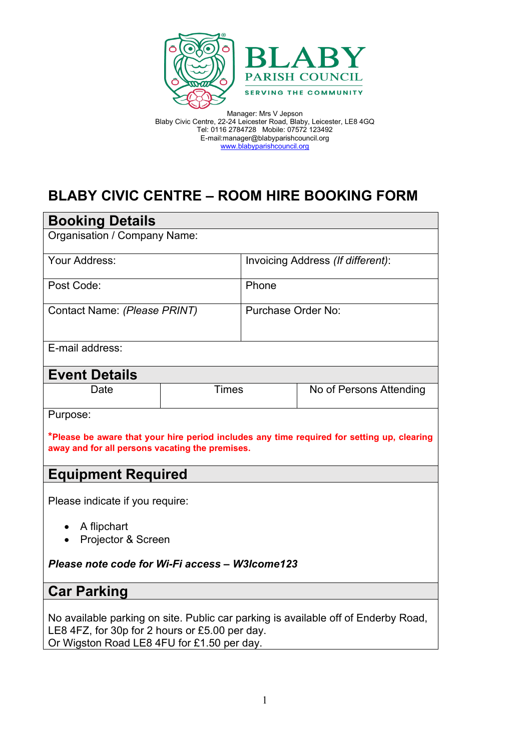

# **BLABY CIVIC CENTRE – ROOM HIRE BOOKING FORM**

| <b>Booking Details</b>                                                                                                                                                             |              |                                   |                         |  |
|------------------------------------------------------------------------------------------------------------------------------------------------------------------------------------|--------------|-----------------------------------|-------------------------|--|
| Organisation / Company Name:                                                                                                                                                       |              |                                   |                         |  |
| Your Address:                                                                                                                                                                      |              | Invoicing Address (If different): |                         |  |
| Post Code:                                                                                                                                                                         |              | Phone                             |                         |  |
| Contact Name: (Please PRINT)                                                                                                                                                       |              | Purchase Order No:                |                         |  |
| E-mail address:                                                                                                                                                                    |              |                                   |                         |  |
| <b>Event Details</b>                                                                                                                                                               |              |                                   |                         |  |
| Date                                                                                                                                                                               | <b>Times</b> |                                   | No of Persons Attending |  |
| Purpose:                                                                                                                                                                           |              |                                   |                         |  |
| *Please be aware that your hire period includes any time required for setting up, clearing<br>away and for all persons vacating the premises.                                      |              |                                   |                         |  |
| <b>Equipment Required</b>                                                                                                                                                          |              |                                   |                         |  |
| Please indicate if you require:                                                                                                                                                    |              |                                   |                         |  |
| A flipchart<br>Projector & Screen                                                                                                                                                  |              |                                   |                         |  |
| Please note code for Wi-Fi access - W3Icome123                                                                                                                                     |              |                                   |                         |  |
| <b>Car Parking</b>                                                                                                                                                                 |              |                                   |                         |  |
| No available parking on site. Public car parking is available off of Enderby Road,<br>LE8 4FZ, for 30p for 2 hours or £5.00 per day.<br>Or Wigston Road LE8 4FU for £1.50 per day. |              |                                   |                         |  |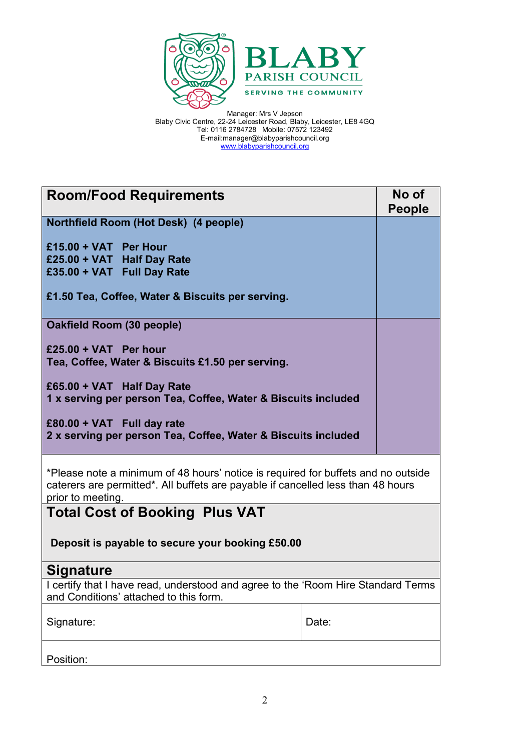

| <b>Room/Food Requirements</b>                                                                                                                                                              |       | No of<br><b>People</b> |  |
|--------------------------------------------------------------------------------------------------------------------------------------------------------------------------------------------|-------|------------------------|--|
| Northfield Room (Hot Desk) (4 people)                                                                                                                                                      |       |                        |  |
| £15.00 + VAT Per Hour<br>£25.00 + VAT Half Day Rate<br>£35.00 + VAT Full Day Rate                                                                                                          |       |                        |  |
| £1.50 Tea, Coffee, Water & Biscuits per serving.                                                                                                                                           |       |                        |  |
| Oakfield Room (30 people)                                                                                                                                                                  |       |                        |  |
| £25.00 + VAT Per hour<br>Tea, Coffee, Water & Biscuits £1.50 per serving.                                                                                                                  |       |                        |  |
| £65.00 + VAT Half Day Rate<br>1 x serving per person Tea, Coffee, Water & Biscuits included                                                                                                |       |                        |  |
| £80.00 + VAT Full day rate<br>2 x serving per person Tea, Coffee, Water & Biscuits included                                                                                                |       |                        |  |
| *Please note a minimum of 48 hours' notice is required for buffets and no outside<br>caterers are permitted*. All buffets are payable if cancelled less than 48 hours<br>prior to meeting. |       |                        |  |
| <b>Total Cost of Booking Plus VAT</b>                                                                                                                                                      |       |                        |  |
| Deposit is payable to secure your booking £50.00                                                                                                                                           |       |                        |  |
| <b>Signature</b>                                                                                                                                                                           |       |                        |  |
| I certify that I have read, understood and agree to the 'Room Hire Standard Terms<br>and Conditions' attached to this form.                                                                |       |                        |  |
| Signature:                                                                                                                                                                                 | Date: |                        |  |
| Position:                                                                                                                                                                                  |       |                        |  |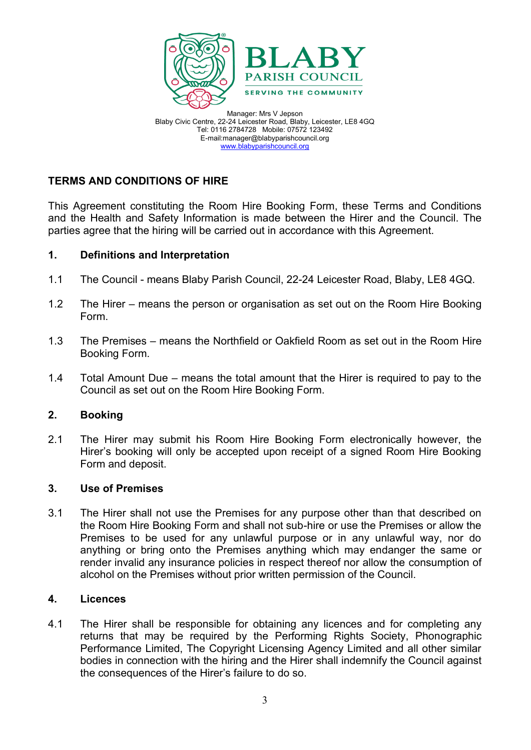![](_page_2_Picture_0.jpeg)

# **TERMS AND CONDITIONS OF HIRE**

This Agreement constituting the Room Hire Booking Form, these Terms and Conditions and the Health and Safety Information is made between the Hirer and the Council. The parties agree that the hiring will be carried out in accordance with this Agreement.

## **1. Definitions and Interpretation**

- 1.1 The Council means Blaby Parish Council, 22-24 Leicester Road, Blaby, LE8 4GQ.
- 1.2 The Hirer means the person or organisation as set out on the Room Hire Booking Form.
- 1.3 The Premises means the Northfield or Oakfield Room as set out in the Room Hire Booking Form.
- 1.4 Total Amount Due means the total amount that the Hirer is required to pay to the Council as set out on the Room Hire Booking Form.

## **2. Booking**

2.1 The Hirer may submit his Room Hire Booking Form electronically however, the Hirer's booking will only be accepted upon receipt of a signed Room Hire Booking Form and deposit.

## **3. Use of Premises**

3.1 The Hirer shall not use the Premises for any purpose other than that described on the Room Hire Booking Form and shall not sub-hire or use the Premises or allow the Premises to be used for any unlawful purpose or in any unlawful way, nor do anything or bring onto the Premises anything which may endanger the same or render invalid any insurance policies in respect thereof nor allow the consumption of alcohol on the Premises without prior written permission of the Council.

## **4. Licences**

4.1 The Hirer shall be responsible for obtaining any licences and for completing any returns that may be required by the Performing Rights Society, Phonographic Performance Limited, The Copyright Licensing Agency Limited and all other similar bodies in connection with the hiring and the Hirer shall indemnify the Council against the consequences of the Hirer's failure to do so.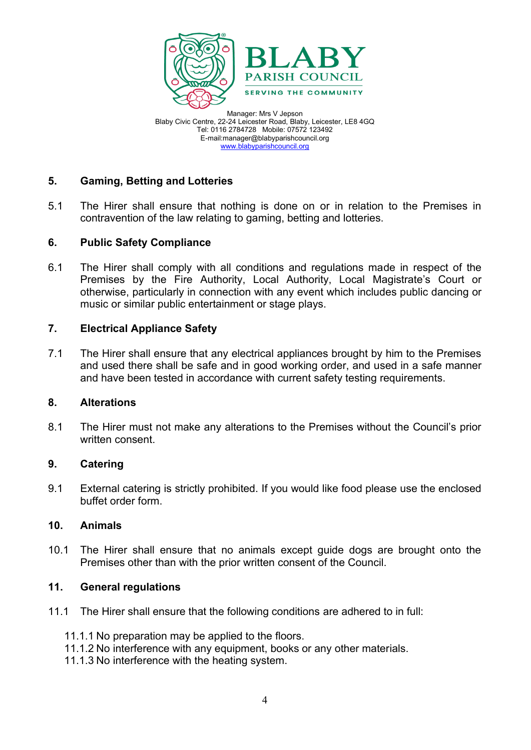![](_page_3_Picture_0.jpeg)

# **5. Gaming, Betting and Lotteries**

5.1 The Hirer shall ensure that nothing is done on or in relation to the Premises in contravention of the law relating to gaming, betting and lotteries.

## **6. Public Safety Compliance**

6.1 The Hirer shall comply with all conditions and regulations made in respect of the Premises by the Fire Authority, Local Authority, Local Magistrate's Court or otherwise, particularly in connection with any event which includes public dancing or music or similar public entertainment or stage plays.

#### **7. Electrical Appliance Safety**

7.1 The Hirer shall ensure that any electrical appliances brought by him to the Premises and used there shall be safe and in good working order, and used in a safe manner and have been tested in accordance with current safety testing requirements.

#### **8. Alterations**

8.1 The Hirer must not make any alterations to the Premises without the Council's prior written consent.

#### **9. Catering**

9.1 External catering is strictly prohibited. If you would like food please use the enclosed buffet order form.

## **10. Animals**

10.1 The Hirer shall ensure that no animals except guide dogs are brought onto the Premises other than with the prior written consent of the Council.

## **11. General regulations**

- 11.1 The Hirer shall ensure that the following conditions are adhered to in full:
	- 11.1.1 No preparation may be applied to the floors.
	- 11.1.2 No interference with any equipment, books or any other materials.
	- 11.1.3 No interference with the heating system.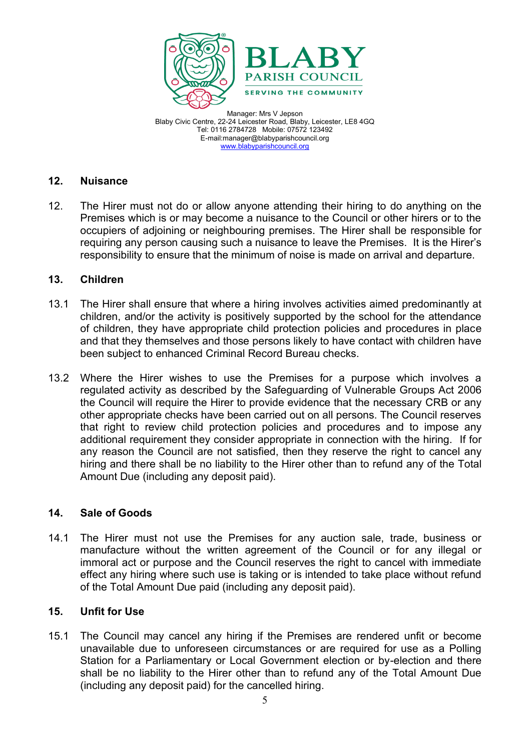![](_page_4_Picture_0.jpeg)

## **12. Nuisance**

12. The Hirer must not do or allow anyone attending their hiring to do anything on the Premises which is or may become a nuisance to the Council or other hirers or to the occupiers of adjoining or neighbouring premises. The Hirer shall be responsible for requiring any person causing such a nuisance to leave the Premises. It is the Hirer's responsibility to ensure that the minimum of noise is made on arrival and departure.

## **13. Children**

- 13.1 The Hirer shall ensure that where a hiring involves activities aimed predominantly at children, and/or the activity is positively supported by the school for the attendance of children, they have appropriate child protection policies and procedures in place and that they themselves and those persons likely to have contact with children have been subject to enhanced Criminal Record Bureau checks.
- 13.2 Where the Hirer wishes to use the Premises for a purpose which involves a regulated activity as described by the Safeguarding of Vulnerable Groups Act 2006 the Council will require the Hirer to provide evidence that the necessary CRB or any other appropriate checks have been carried out on all persons. The Council reserves that right to review child protection policies and procedures and to impose any additional requirement they consider appropriate in connection with the hiring. If for any reason the Council are not satisfied, then they reserve the right to cancel any hiring and there shall be no liability to the Hirer other than to refund any of the Total Amount Due (including any deposit paid).

## **14. Sale of Goods**

14.1 The Hirer must not use the Premises for any auction sale, trade, business or manufacture without the written agreement of the Council or for any illegal or immoral act or purpose and the Council reserves the right to cancel with immediate effect any hiring where such use is taking or is intended to take place without refund of the Total Amount Due paid (including any deposit paid).

## **15. Unfit for Use**

15.1 The Council may cancel any hiring if the Premises are rendered unfit or become unavailable due to unforeseen circumstances or are required for use as a Polling Station for a Parliamentary or Local Government election or by-election and there shall be no liability to the Hirer other than to refund any of the Total Amount Due (including any deposit paid) for the cancelled hiring.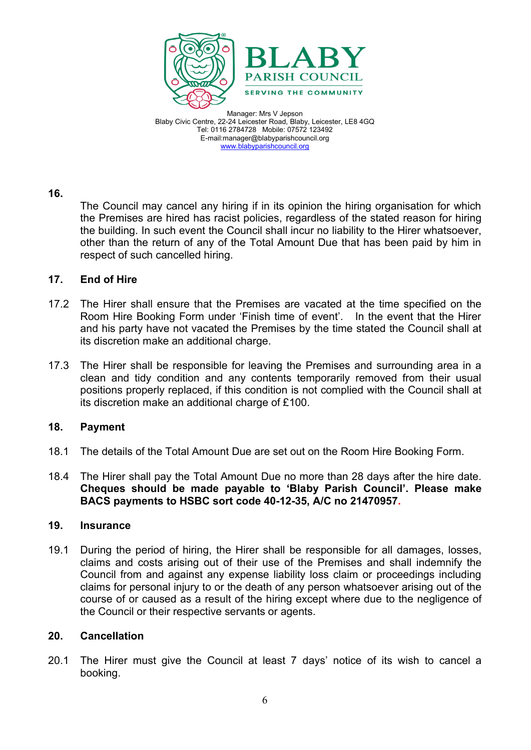![](_page_5_Picture_0.jpeg)

#### **16.**

The Council may cancel any hiring if in its opinion the hiring organisation for which the Premises are hired has racist policies, regardless of the stated reason for hiring the building. In such event the Council shall incur no liability to the Hirer whatsoever, other than the return of any of the Total Amount Due that has been paid by him in respect of such cancelled hiring.

## **17. End of Hire**

- 17.2 The Hirer shall ensure that the Premises are vacated at the time specified on the Room Hire Booking Form under 'Finish time of event'. In the event that the Hirer and his party have not vacated the Premises by the time stated the Council shall at its discretion make an additional charge.
- 17.3 The Hirer shall be responsible for leaving the Premises and surrounding area in a clean and tidy condition and any contents temporarily removed from their usual positions properly replaced, if this condition is not complied with the Council shall at its discretion make an additional charge of £100.

#### **18. Payment**

- 18.1 The details of the Total Amount Due are set out on the Room Hire Booking Form.
- 18.4 The Hirer shall pay the Total Amount Due no more than 28 days after the hire date. **Cheques should be made payable to 'Blaby Parish Council'. Please make BACS payments to HSBC sort code 40-12-35, A/C no 21470957.**

## **19. Insurance**

19.1 During the period of hiring, the Hirer shall be responsible for all damages, losses, claims and costs arising out of their use of the Premises and shall indemnify the Council from and against any expense liability loss claim or proceedings including claims for personal injury to or the death of any person whatsoever arising out of the course of or caused as a result of the hiring except where due to the negligence of the Council or their respective servants or agents.

#### **20. Cancellation**

20.1 The Hirer must give the Council at least 7 days' notice of its wish to cancel a booking.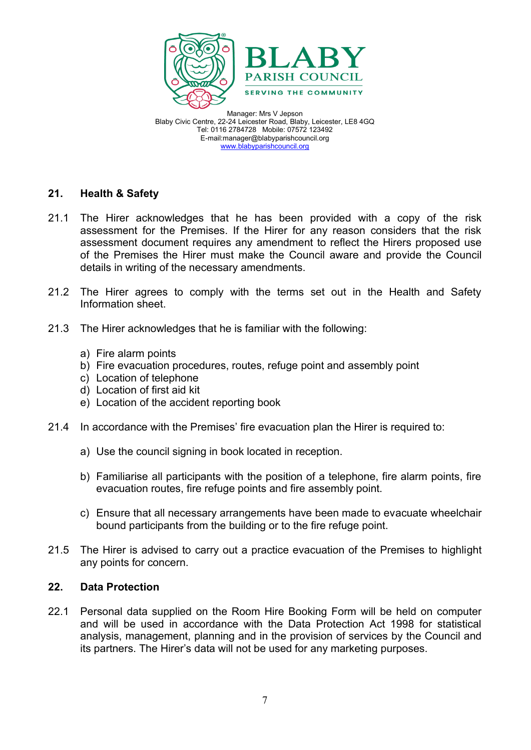![](_page_6_Picture_0.jpeg)

## **21. Health & Safety**

- 21.1 The Hirer acknowledges that he has been provided with a copy of the risk assessment for the Premises. If the Hirer for any reason considers that the risk assessment document requires any amendment to reflect the Hirers proposed use of the Premises the Hirer must make the Council aware and provide the Council details in writing of the necessary amendments.
- 21.2 The Hirer agrees to comply with the terms set out in the Health and Safety Information sheet.
- 21.3 The Hirer acknowledges that he is familiar with the following:
	- a) Fire alarm points
	- b) Fire evacuation procedures, routes, refuge point and assembly point
	- c) Location of telephone
	- d) Location of first aid kit
	- e) Location of the accident reporting book
- 21.4 In accordance with the Premises' fire evacuation plan the Hirer is required to:
	- a) Use the council signing in book located in reception.
	- b) Familiarise all participants with the position of a telephone, fire alarm points, fire evacuation routes, fire refuge points and fire assembly point.
	- c) Ensure that all necessary arrangements have been made to evacuate wheelchair bound participants from the building or to the fire refuge point.
- 21.5 The Hirer is advised to carry out a practice evacuation of the Premises to highlight any points for concern.

## **22. Data Protection**

22.1 Personal data supplied on the Room Hire Booking Form will be held on computer and will be used in accordance with the Data Protection Act 1998 for statistical analysis, management, planning and in the provision of services by the Council and its partners. The Hirer's data will not be used for any marketing purposes.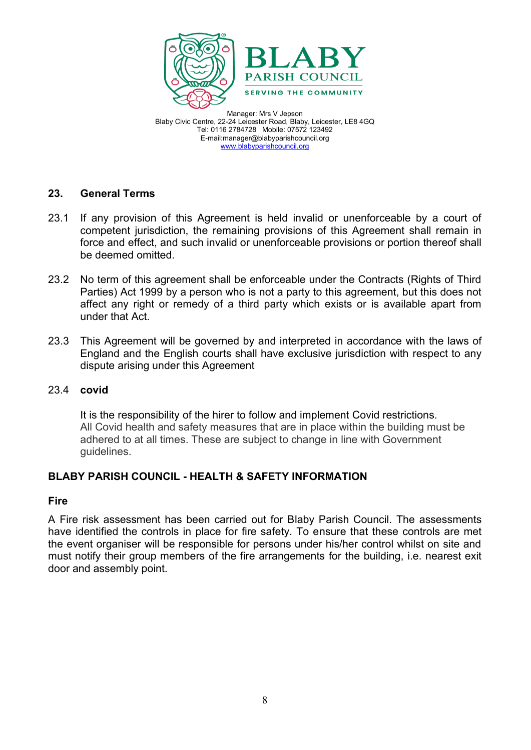![](_page_7_Picture_0.jpeg)

## **23. General Terms**

- 23.1 If any provision of this Agreement is held invalid or unenforceable by a court of competent jurisdiction, the remaining provisions of this Agreement shall remain in force and effect, and such invalid or unenforceable provisions or portion thereof shall be deemed omitted.
- 23.2 No term of this agreement shall be enforceable under the Contracts (Rights of Third Parties) Act 1999 by a person who is not a party to this agreement, but this does not affect any right or remedy of a third party which exists or is available apart from under that Act.
- 23.3 This Agreement will be governed by and interpreted in accordance with the laws of England and the English courts shall have exclusive jurisdiction with respect to any dispute arising under this Agreement

## 23.4 **covid**

It is the responsibility of the hirer to follow and implement Covid restrictions. All Covid health and safety measures that are in place within the building must be adhered to at all times. These are subject to change in line with Government guidelines.

# **BLABY PARISH COUNCIL - HEALTH & SAFETY INFORMATION**

#### **Fire**

A Fire risk assessment has been carried out for Blaby Parish Council. The assessments have identified the controls in place for fire safety. To ensure that these controls are met the event organiser will be responsible for persons under his/her control whilst on site and must notify their group members of the fire arrangements for the building, i.e. nearest exit door and assembly point.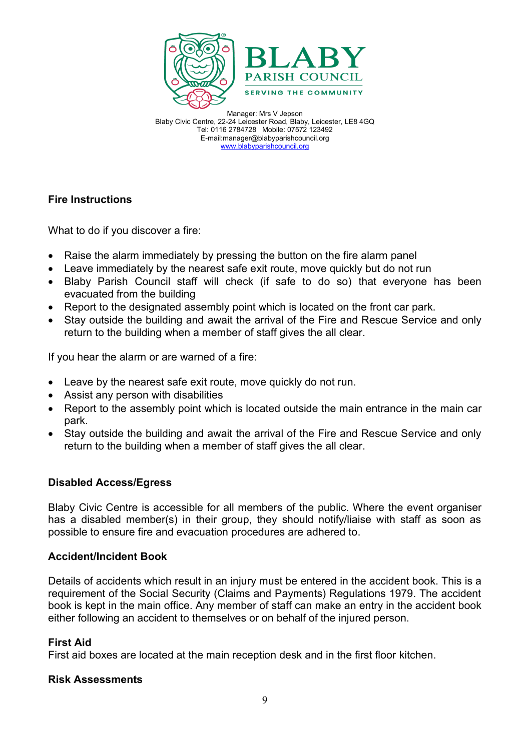![](_page_8_Picture_0.jpeg)

# **Fire Instructions**

What to do if you discover a fire:

- Raise the alarm immediately by pressing the button on the fire alarm panel
- Leave immediately by the nearest safe exit route, move quickly but do not run
- Blaby Parish Council staff will check (if safe to do so) that everyone has been evacuated from the building
- Report to the designated assembly point which is located on the front car park.
- Stay outside the building and await the arrival of the Fire and Rescue Service and only return to the building when a member of staff gives the all clear.

If you hear the alarm or are warned of a fire:

- Leave by the nearest safe exit route, move quickly do not run.
- Assist any person with disabilities
- Report to the assembly point which is located outside the main entrance in the main car park.
- Stay outside the building and await the arrival of the Fire and Rescue Service and only return to the building when a member of staff gives the all clear.

# **Disabled Access/Egress**

Blaby Civic Centre is accessible for all members of the public. Where the event organiser has a disabled member(s) in their group, they should notify/liaise with staff as soon as possible to ensure fire and evacuation procedures are adhered to.

## **Accident/Incident Book**

Details of accidents which result in an injury must be entered in the accident book. This is a requirement of the Social Security (Claims and Payments) Regulations 1979. The accident book is kept in the main office. Any member of staff can make an entry in the accident book either following an accident to themselves or on behalf of the injured person.

## **First Aid**

First aid boxes are located at the main reception desk and in the first floor kitchen.

## **Risk Assessments**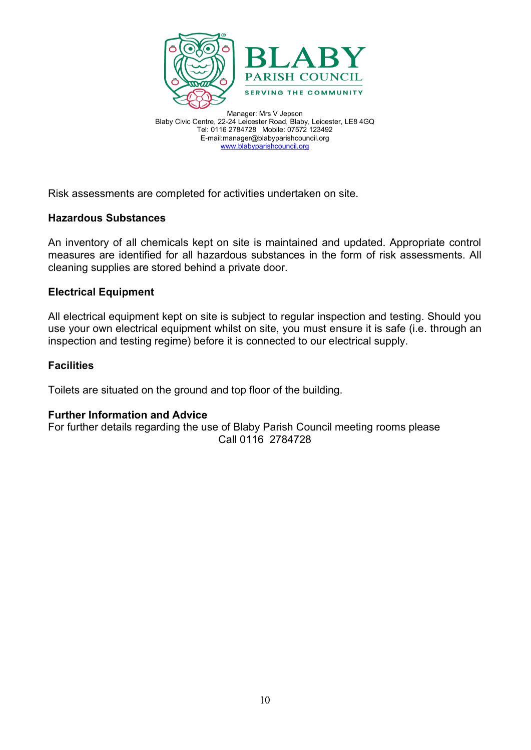![](_page_9_Picture_0.jpeg)

Risk assessments are completed for activities undertaken on site.

## **Hazardous Substances**

An inventory of all chemicals kept on site is maintained and updated. Appropriate control measures are identified for all hazardous substances in the form of risk assessments. All cleaning supplies are stored behind a private door.

#### **Electrical Equipment**

All electrical equipment kept on site is subject to regular inspection and testing. Should you use your own electrical equipment whilst on site, you must ensure it is safe (i.e. through an inspection and testing regime) before it is connected to our electrical supply.

#### **Facilities**

Toilets are situated on the ground and top floor of the building.

## **Further Information and Advice**

For further details regarding the use of Blaby Parish Council meeting rooms please Call 0116 2784728